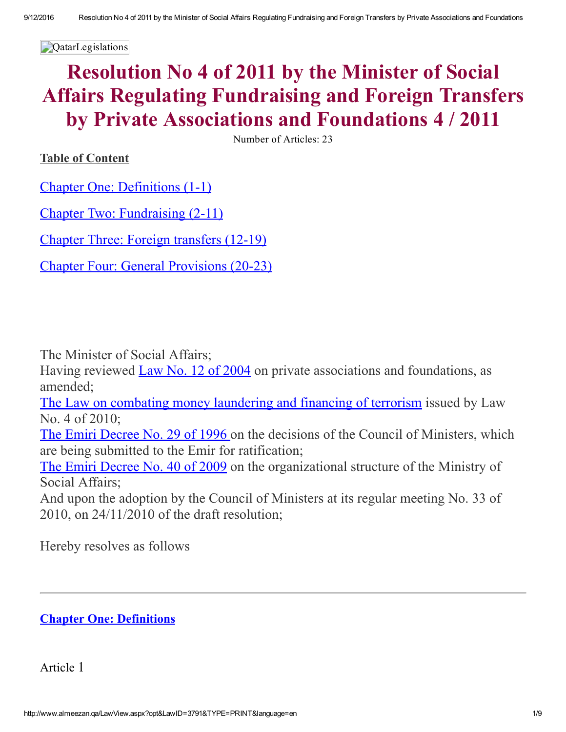**QatarLegislations** 

# Resolution No 4 of 2011 by the Minister of Social Affairs Regulating Fundraising and Foreign Transfers by Private Associations and Foundations 4 / 2011

Number of Articles: 23

Table of Content

Chapter One: [Definitions](#page-0-0) (1-1)

Chapter Two: [Fundraising](#page-1-0) (2-11)

Chapter Three: Foreign [transfers](#page-4-0) (1219)

Chapter Four: General [Provisions](#page-6-0) (20-23)

The Minister of Social Affairs;

Having reviewed Law No. 12 of [2004](http://www.almeezan.qa/LawPage.aspx?id=45&language=en) on private associations and foundations, as amended;

The Law on combating money [laundering](http://www.almeezan.qa/LawPage.aspx?id=2610&language=en) and financing of terrorism issued by Law No. 4 of 2010;

The Emiri [Decree](http://www.almeezan.qa/LawPage.aspx?id=715&language=en) No. 29 of 1996 on the decisions of the Council of Ministers, which are being submitted to the Emir for ratification;

The Emiri [Decree](http://www.almeezan.qa/LawPage.aspx?id=2837&language=en) No. 40 of 2009 on the organizational structure of the Ministry of Social Affairs;

And upon the adoption by the Council of Ministers at its regular meeting No. 33 of 2010, on 24/11/2010 of the draft resolution;

Hereby resolves as follows

# <span id="page-0-0"></span>Chapter One: Definitions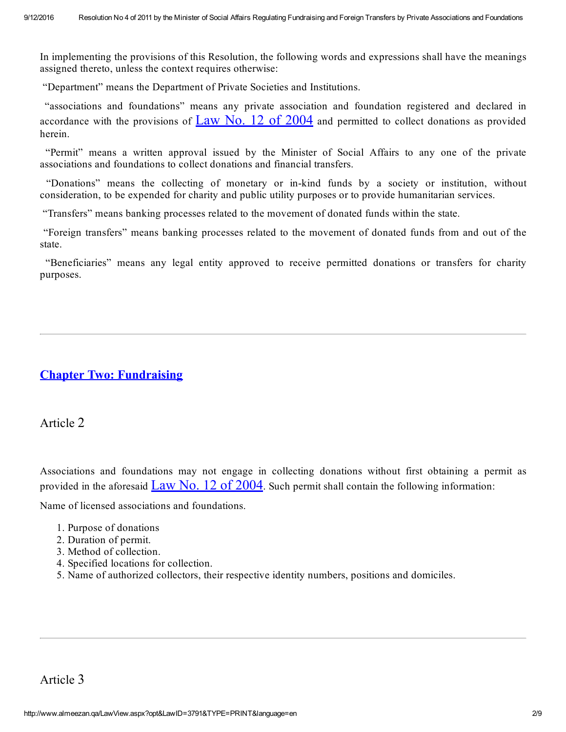In implementing the provisions of this Resolution, the following words and expressions shall have the meanings assigned thereto, unless the context requires otherwise:

"Department" means the Department of Private Societies and Institutions.

"associations and foundations" means any private association and foundation registered and declared in accordance with the provisions of  $\text{Law No. } 12$  of  $2004$  and permitted to collect donations as provided herein.

"Permit" means a written approval issued by the Minister of Social Affairs to any one of the private associations and foundations to collect donations and financial transfers.

"Donations" means the collecting of monetary or in-kind funds by a society or institution, without consideration, to be expended for charity and public utility purposes or to provide humanitarian services.

"Transfers" means banking processes related to the movement of donated funds within the state.

"Foreign transfers" means banking processes related to the movement of donated funds from and out of the state.

"Beneficiaries" means any legal entity approved to receive permitted donations or transfers for charity purposes.

# <span id="page-1-0"></span>Chapter Two: Fundraising

Article 2

Associations and foundations may not engage in collecting donations without first obtaining a permit as provided in the aforesaid  $\frac{\text{Law No. 12 of 2004}}{\text{Ne}}$  $\frac{\text{Law No. 12 of 2004}}{\text{Ne}}$  $\frac{\text{Law No. 12 of 2004}}{\text{Ne}}$ . Such permit shall contain the following information:

Name of licensed associations and foundations.

- 1. Purpose of donations
- 2. Duration of permit.
- 3. Method of collection.
- 4. Specified locations for collection.
- 5. Name of authorized collectors, their respective identity numbers, positions and domiciles.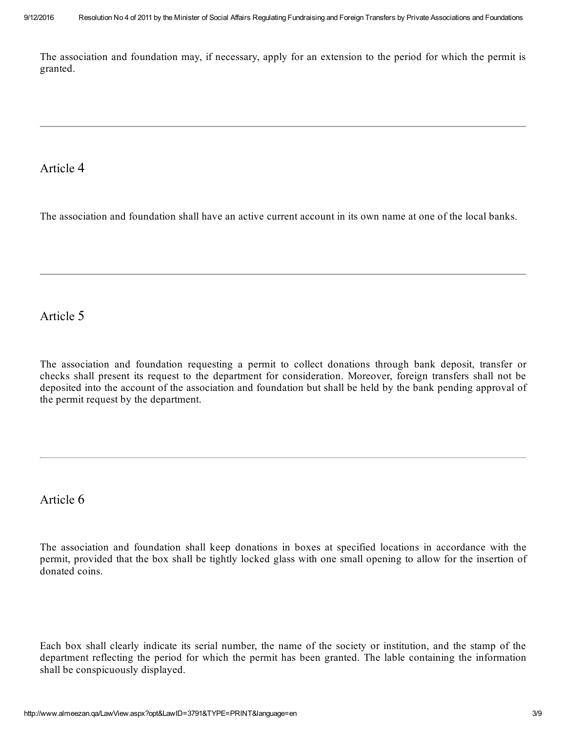The association and foundation may, if necessary, apply for an extension to the period for which the permit is granted.

## Article 4

The association and foundation shall have an active current account in its own name at one of the local banks.

# Article 5

The association and foundation requesting a permit to collect donations through bank deposit, transfer or checks shall present its request to the department for consideration. Moreover, foreign transfers shall not be deposited into the account of the association and foundation but shall be held by the bank pending approval of the permit request by the department.

# Article 6

The association and foundation shall keep donations in boxes at specified locations in accordance with the permit, provided that the box shall be tightly locked glass with one small opening to allow for the insertion of donated coins.

Each box shall clearly indicate its serial number, the name of the society or institution, and the stamp of the department reflecting the period for which the permit has been granted. The lable containing the information shall be conspicuously displayed.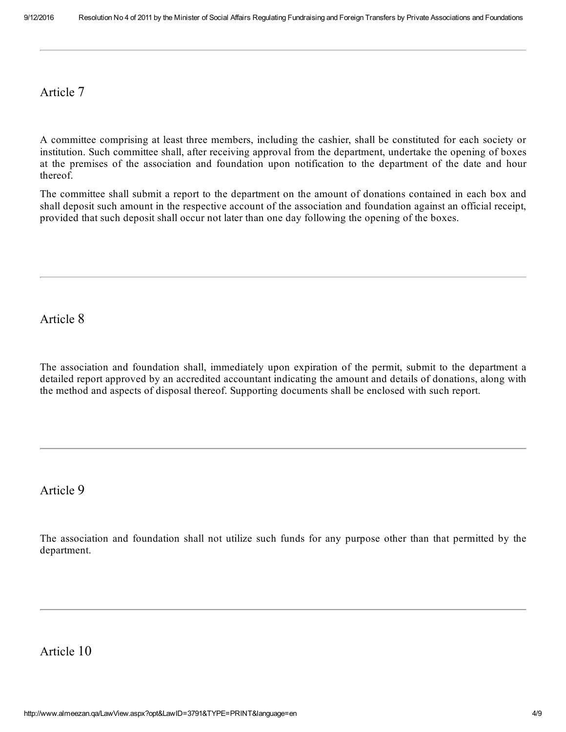#### Article 7

A committee comprising at least three members, including the cashier, shall be constituted for each society or institution. Such committee shall, after receiving approval from the department, undertake the opening of boxes at the premises of the association and foundation upon notification to the department of the date and hour thereof.

The committee shall submit a report to the department on the amount of donations contained in each box and shall deposit such amount in the respective account of the association and foundation against an official receipt, provided that such deposit shall occur not later than one day following the opening of the boxes.

Article 8

The association and foundation shall, immediately upon expiration of the permit, submit to the department a detailed report approved by an accredited accountant indicating the amount and details of donations, along with the method and aspects of disposal thereof. Supporting documents shall be enclosed with such report.

Article 9

The association and foundation shall not utilize such funds for any purpose other than that permitted by the department.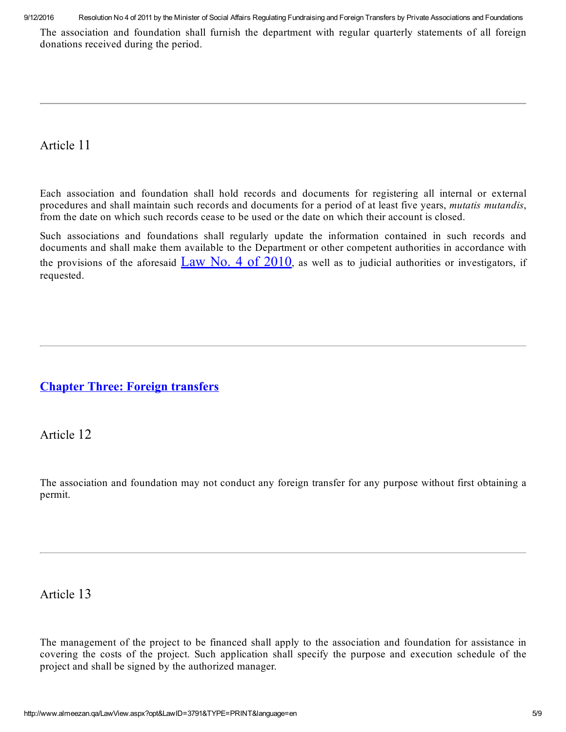9/12/2016 Resolution No 4 of 2011 by the Minister of Social Affairs Regulating Fundraising and Foreign Transfers by Private Associations and Foundations

The association and foundation shall furnish the department with regular quarterly statements of all foreign donations received during the period.

# Article 11

Each association and foundation shall hold records and documents for registering all internal or external procedures and shall maintain such records and documents for a period of at least five years, mutatis mutandis, from the date on which such records cease to be used or the date on which their account is closed.

Such associations and foundations shall regularly update the information contained in such records and documents and shall make them available to the Department or other competent authorities in accordance with the provisions of the aforesaid Law No. 4 of  $2010$ , as well as to judicial authorities or investigators, if requested.

# <span id="page-4-0"></span>Chapter Three: Foreign transfers

Article 12

The association and foundation may not conduct any foreign transfer for any purpose without first obtaining a permit.

# Article 13

The management of the project to be financed shall apply to the association and foundation for assistance in covering the costs of the project. Such application shall specify the purpose and execution schedule of the project and shall be signed by the authorized manager.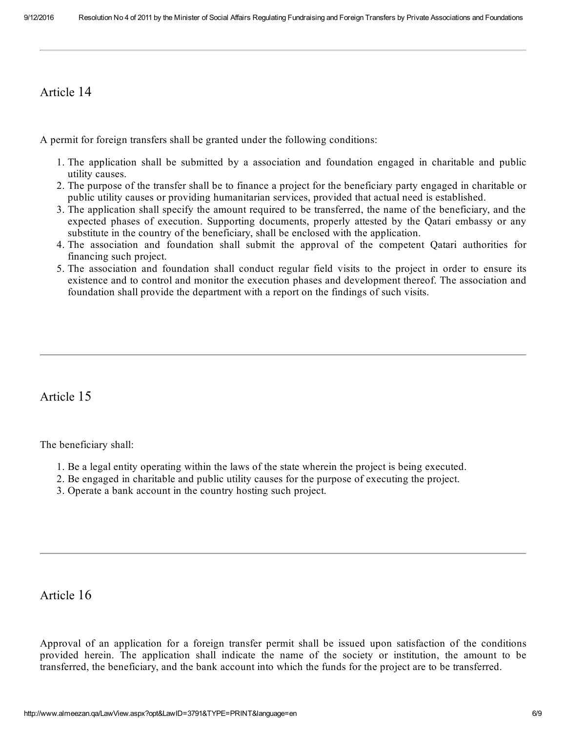# Article 14

A permit for foreign transfers shall be granted under the following conditions:

- 1. The application shall be submitted by a association and foundation engaged in charitable and public utility causes.
- 2. The purpose of the transfer shall be to finance a project for the beneficiary party engaged in charitable or public utility causes or providing humanitarian services, provided that actual need is established.
- 3. The application shall specify the amount required to be transferred, the name of the beneficiary, and the expected phases of execution. Supporting documents, properly attested by the Qatari embassy or any substitute in the country of the beneficiary, shall be enclosed with the application.
- 4. The association and foundation shall submit the approval of the competent Qatari authorities for financing such project.
- 5. The association and foundation shall conduct regular field visits to the project in order to ensure its existence and to control and monitor the execution phases and development thereof. The association and foundation shall provide the department with a report on the findings of such visits.

# Article 15

The beneficiary shall:

- 1. Be a legal entity operating within the laws of the state wherein the project is being executed.
- 2. Be engaged in charitable and public utility causes for the purpose of executing the project.
- 3. Operate a bank account in the country hosting such project.

### Article 16

Approval of an application for a foreign transfer permit shall be issued upon satisfaction of the conditions provided herein. The application shall indicate the name of the society or institution, the amount to be transferred, the beneficiary, and the bank account into which the funds for the project are to be transferred.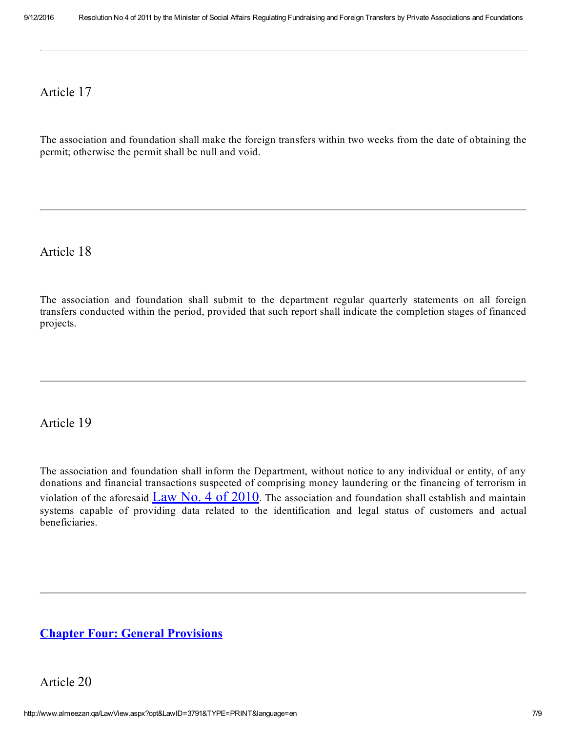#### Article 17

The association and foundation shall make the foreign transfers within two weeks from the date of obtaining the permit; otherwise the permit shall be null and void.

Article 18

The association and foundation shall submit to the department regular quarterly statements on all foreign transfers conducted within the period, provided that such report shall indicate the completion stages of financed projects.

Article 19

The association and foundation shall inform the Department, without notice to any individual or entity, of any donations and financial transactions suspected of comprising money laundering or the financing of terrorism in violation of the aforesaid  $\frac{Law No. 4 of 2010}$  $\frac{Law No. 4 of 2010}$  $\frac{Law No. 4 of 2010}$ . The association and foundation shall establish and maintain systems capable of providing data related to the identification and legal status of customers and actual beneficiaries.

### <span id="page-6-0"></span>Chapter Four: General Provisions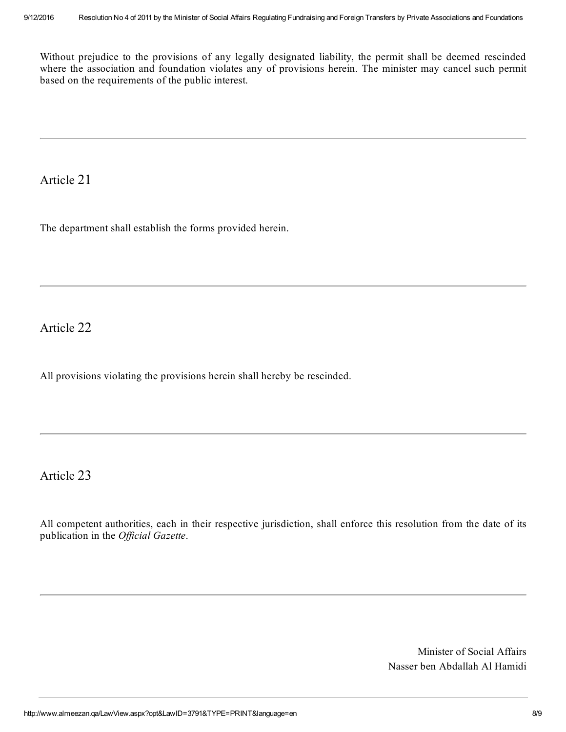Without prejudice to the provisions of any legally designated liability, the permit shall be deemed rescinded where the association and foundation violates any of provisions herein. The minister may cancel such permit based on the requirements of the public interest.

Article 21

The department shall establish the forms provided herein.

Article 22

All provisions violating the provisions herein shall hereby be rescinded.

Article 23

All competent authorities, each in their respective jurisdiction, shall enforce this resolution from the date of its publication in the Official Gazette.

> Minister of Social Affairs Nasser ben Abdallah Al Hamidi